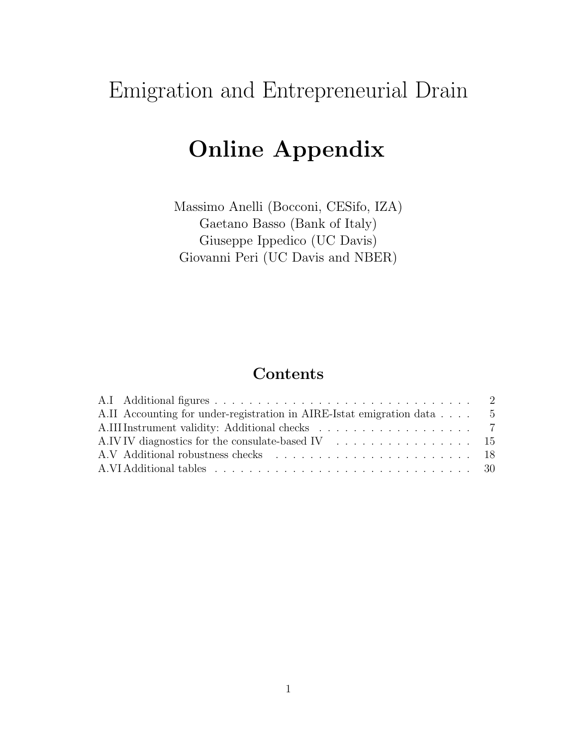## Emigration and Entrepreneurial Drain

# Online Appendix

Massimo Anelli (Bocconi, CESifo, IZA) Gaetano Basso (Bank of Italy) Giuseppe Ippedico (UC Davis) Giovanni Peri (UC Davis and NBER)

### Contents

| A.II Accounting for under-registration in AIRE-Istat emigration data 5                        |  |  |
|-----------------------------------------------------------------------------------------------|--|--|
|                                                                                               |  |  |
| A.IV IV diagnostics for the consulate-based IV $\ldots \ldots \ldots \ldots \ldots \ldots$ 15 |  |  |
|                                                                                               |  |  |
|                                                                                               |  |  |
|                                                                                               |  |  |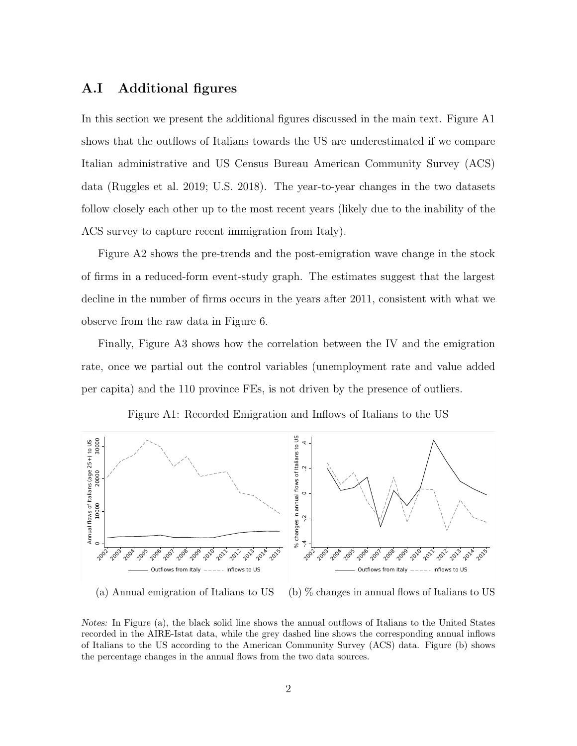#### A.I Additional figures

In this section we present the additional figures discussed in the main text. Figure A1 shows that the outflows of Italians towards the US are underestimated if we compare Italian administrative and US Census Bureau American Community Survey (ACS) data (Ruggles et al. 2019; U.S. 2018). The year-to-year changes in the two datasets follow closely each other up to the most recent years (likely due to the inability of the ACS survey to capture recent immigration from Italy).

Figure A2 shows the pre-trends and the post-emigration wave change in the stock of firms in a reduced-form event-study graph. The estimates suggest that the largest decline in the number of firms occurs in the years after 2011, consistent with what we observe from the raw data in Figure 6.

Finally, Figure A3 shows how the correlation between the IV and the emigration rate, once we partial out the control variables (unemployment rate and value added per capita) and the 110 province FEs, is not driven by the presence of outliers.

Figure A1: Recorded Emigration and Inflows of Italians to the US



(b) % changes in annual flows of Italians to US

Notes: In Figure (a), the black solid line shows the annual outflows of Italians to the United States recorded in the AIRE-Istat data, while the grey dashed line shows the corresponding annual inflows of Italians to the US according to the American Community Survey (ACS) data. Figure (b) shows the percentage changes in the annual flows from the two data sources.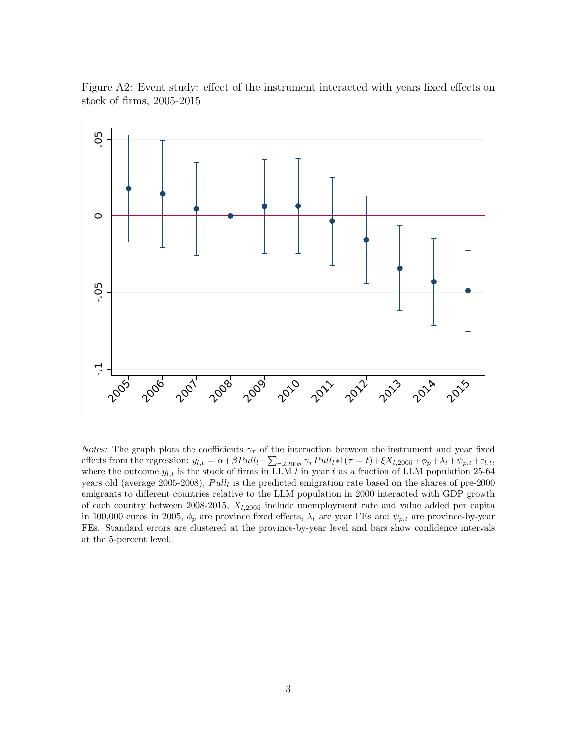Figure A2: Event study: effect of the instrument interacted with years fixed effects on stock of firms, 2005-2015



Notes: The graph plots the coefficients  $\gamma_{\tau}$  of the interaction between the instrument and year fixed effects from the regression:  $y_{l,t} = \alpha + \beta Pull_l + \sum_{\tau \neq 2008} \gamma_{\tau} Pull_l * \mathbb{I}(\tau = t) + \xi X_{l,2005} + \phi_p + \lambda_t + \psi_{p,t} + \varepsilon_{l,t}$ where the outcome  $y_{l,t}$  is the stock of firms in LLM l in year t as a fraction of LLM population 25-64 years old (average 2005-2008),  $Pull<sub>l</sub>$  is the predicted emigration rate based on the shares of pre-2000 emigrants to different countries relative to the LLM population in 2000 interacted with GDP growth of each country between 2008-2015,  $X_{l,2005}$  include unemployment rate and value added per capita in 100,000 euros in 2005,  $\phi_p$  are province fixed effects,  $\lambda_t$  are year FEs and  $\psi_{p,t}$  are province-by-year FEs. Standard errors are clustered at the province-by-year level and bars show confidence intervals at the 5-percent level.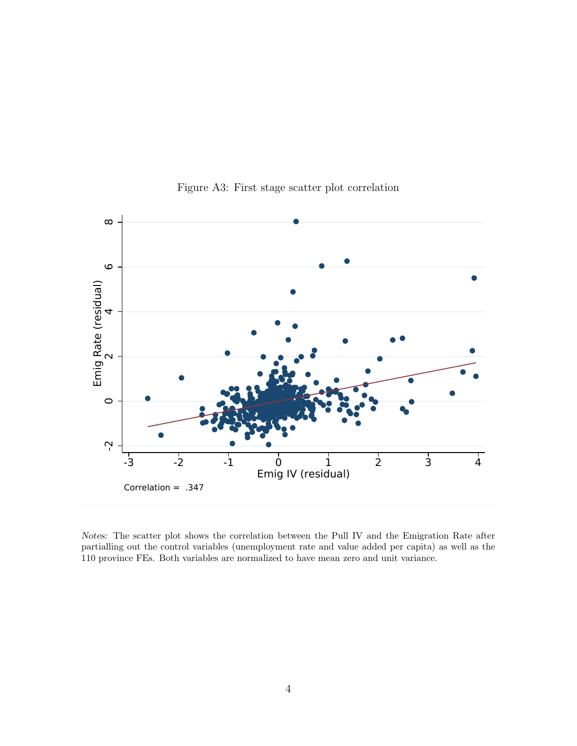

Figure A3: First stage scatter plot correlation

Notes: The scatter plot shows the correlation between the Pull IV and the Emigration Rate after partialling out the control variables (unemployment rate and value added per capita) as well as the 110 province FEs. Both variables are normalized to have mean zero and unit variance.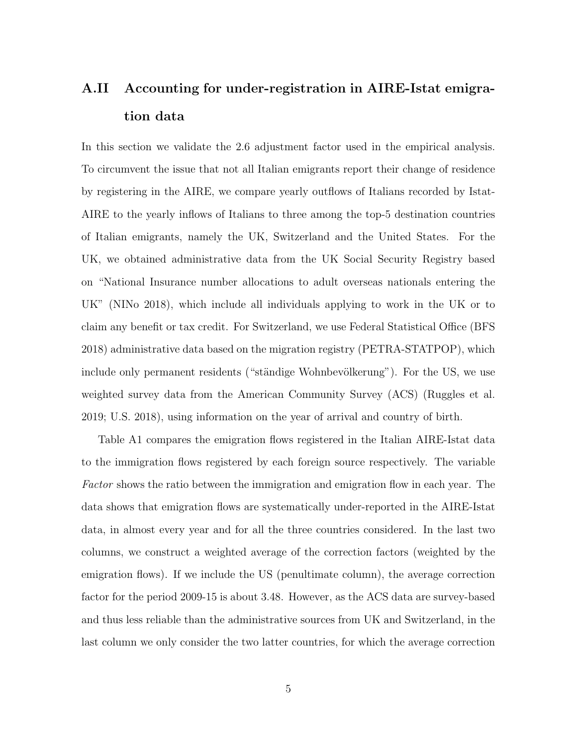## A.II Accounting for under-registration in AIRE-Istat emigration data

In this section we validate the 2.6 adjustment factor used in the empirical analysis. To circumvent the issue that not all Italian emigrants report their change of residence by registering in the AIRE, we compare yearly outflows of Italians recorded by Istat-AIRE to the yearly inflows of Italians to three among the top-5 destination countries of Italian emigrants, namely the UK, Switzerland and the United States. For the UK, we obtained administrative data from the UK Social Security Registry based on "National Insurance number allocations to adult overseas nationals entering the UK" (NINo 2018), which include all individuals applying to work in the UK or to claim any benefit or tax credit. For Switzerland, we use Federal Statistical Office (BFS 2018) administrative data based on the migration registry (PETRA-STATPOP), which include only permanent residents ("ständige Wohnbevölkerung"). For the US, we use weighted survey data from the American Community Survey (ACS) (Ruggles et al. 2019; U.S. 2018), using information on the year of arrival and country of birth.

Table A1 compares the emigration flows registered in the Italian AIRE-Istat data to the immigration flows registered by each foreign source respectively. The variable Factor shows the ratio between the immigration and emigration flow in each year. The data shows that emigration flows are systematically under-reported in the AIRE-Istat data, in almost every year and for all the three countries considered. In the last two columns, we construct a weighted average of the correction factors (weighted by the emigration flows). If we include the US (penultimate column), the average correction factor for the period 2009-15 is about 3.48. However, as the ACS data are survey-based and thus less reliable than the administrative sources from UK and Switzerland, in the last column we only consider the two latter countries, for which the average correction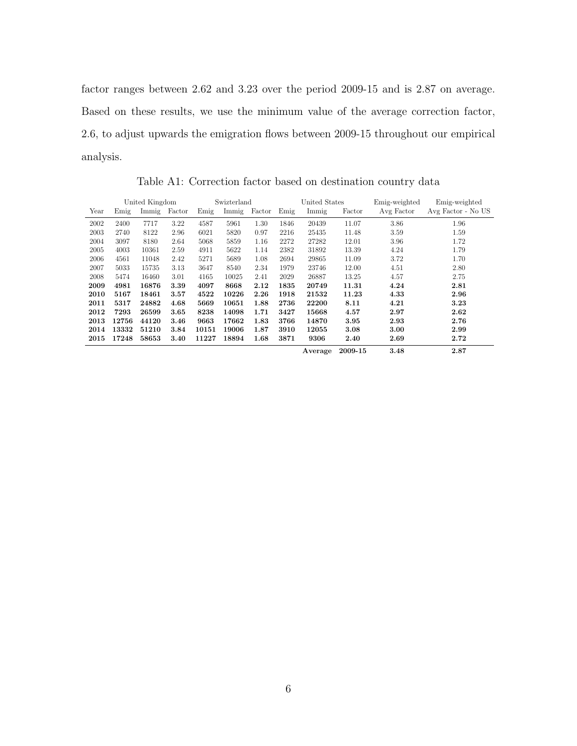factor ranges between 2.62 and 3.23 over the period 2009-15 and is 2.87 on average. Based on these results, we use the minimum value of the average correction factor, 2.6, to adjust upwards the emigration flows between 2009-15 throughout our empirical analysis.

|      |       | United Kingdom |        |       | Swizterland |        |      | United States |         | Emig-weighted | Emig-weighted      |
|------|-------|----------------|--------|-------|-------------|--------|------|---------------|---------|---------------|--------------------|
| Year | Emig  | Immig          | Factor | Emig  | Immig       | Factor | Emig | Immig         | Factor  | Avg Factor    | Avg Factor - No US |
| 2002 | 2400  | 7717           | 3.22   | 4587  | 5961        | 1.30   | 1846 | 20439         | 11.07   | 3.86          | 1.96               |
| 2003 | 2740  | 8122           | 2.96   | 6021  | 5820        | 0.97   | 2216 | 25435         | 11.48   | 3.59          | 1.59               |
| 2004 | 3097  | 8180           | 2.64   | 5068  | 5859        | 1.16   | 2272 | 27282         | 12.01   | 3.96          | 1.72               |
| 2005 | 4003  | 10361          | 2.59   | 4911  | 5622        | 1.14   | 2382 | 31892         | 13.39   | 4.24          | 1.79               |
| 2006 | 4561  | 11048          | 2.42   | 5271  | 5689        | 1.08   | 2694 | 29865         | 11.09   | 3.72          | 1.70               |
| 2007 | 5033  | 15735          | 3.13   | 3647  | 8540        | 2.34   | 1979 | 23746         | 12.00   | 4.51          | 2.80               |
| 2008 | 5474  | 16460          | 3.01   | 4165  | 10025       | 2.41   | 2029 | 26887         | 13.25   | 4.57          | 2.75               |
| 2009 | 4981  | 16876          | 3.39   | 4097  | 8668        | 2.12   | 1835 | 20749         | 11.31   | 4.24          | 2.81               |
| 2010 | 5167  | 18461          | 3.57   | 4522  | 10226       | 2.26   | 1918 | 21532         | 11.23   | 4.33          | 2.96               |
| 2011 | 5317  | 24882          | 4.68   | 5669  | 10651       | 1.88   | 2736 | 22200         | 8.11    | 4.21          | 3.23               |
| 2012 | 7293  | 26599          | 3.65   | 8238  | 14098       | 1.71   | 3427 | 15668         | 4.57    | 2.97          | 2.62               |
| 2013 | 12756 | 44120          | 3.46   | 9663  | 17662       | 1.83   | 3766 | 14870         | 3.95    | 2.93          | 2.76               |
| 2014 | 13332 | 51210          | 3.84   | 10151 | 19006       | 1.87   | 3910 | 12055         | 3.08    | 3.00          | 2.99               |
| 2015 | 17248 | 58653          | 3.40   | 11227 | 18894       | 1.68   | 3871 | 9306          | 2.40    | 2.69          | 2.72               |
|      |       |                |        |       |             |        |      | Average       | 2009-15 | 3.48          | 2.87               |

Table A1: Correction factor based on destination country data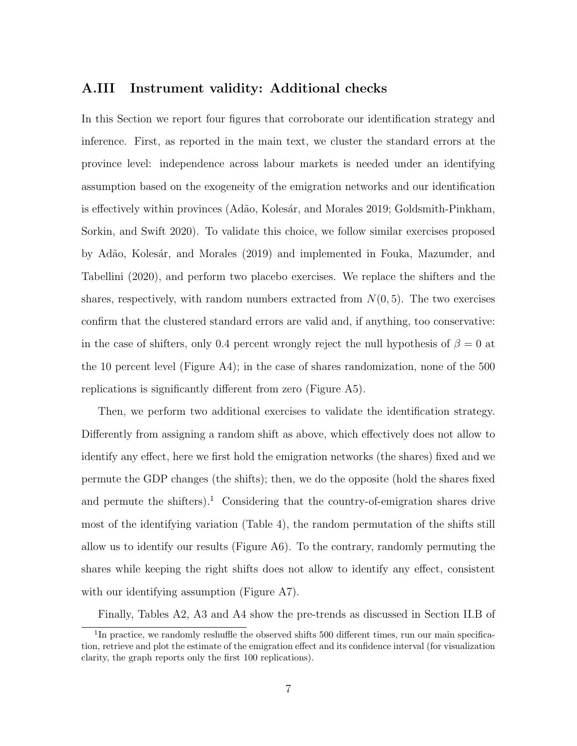#### A.III Instrument validity: Additional checks

In this Section we report four figures that corroborate our identification strategy and inference. First, as reported in the main text, we cluster the standard errors at the province level: independence across labour markets is needed under an identifying assumption based on the exogeneity of the emigration networks and our identification is effectively within provinces (Adão, Kolesár, and Morales 2019; Goldsmith-Pinkham, Sorkin, and Swift 2020). To validate this choice, we follow similar exercises proposed by Adão, Kolesár, and Morales (2019) and implemented in Fouka, Mazumder, and Tabellini (2020), and perform two placebo exercises. We replace the shifters and the shares, respectively, with random numbers extracted from  $N(0, 5)$ . The two exercises confirm that the clustered standard errors are valid and, if anything, too conservative: in the case of shifters, only 0.4 percent wrongly reject the null hypothesis of  $\beta = 0$  at the 10 percent level (Figure A4); in the case of shares randomization, none of the 500 replications is significantly different from zero (Figure A5).

Then, we perform two additional exercises to validate the identification strategy. Differently from assigning a random shift as above, which effectively does not allow to identify any effect, here we first hold the emigration networks (the shares) fixed and we permute the GDP changes (the shifts); then, we do the opposite (hold the shares fixed and permute the shifters).<sup>1</sup> Considering that the country-of-emigration shares drive most of the identifying variation (Table 4), the random permutation of the shifts still allow us to identify our results (Figure A6). To the contrary, randomly permuting the shares while keeping the right shifts does not allow to identify any effect, consistent with our identifying assumption (Figure A7).

Finally, Tables A2, A3 and A4 show the pre-trends as discussed in Section II.B of

<sup>&</sup>lt;sup>1</sup>In practice, we randomly reshuffle the observed shifts 500 different times, run our main specification, retrieve and plot the estimate of the emigration effect and its confidence interval (for visualization clarity, the graph reports only the first 100 replications).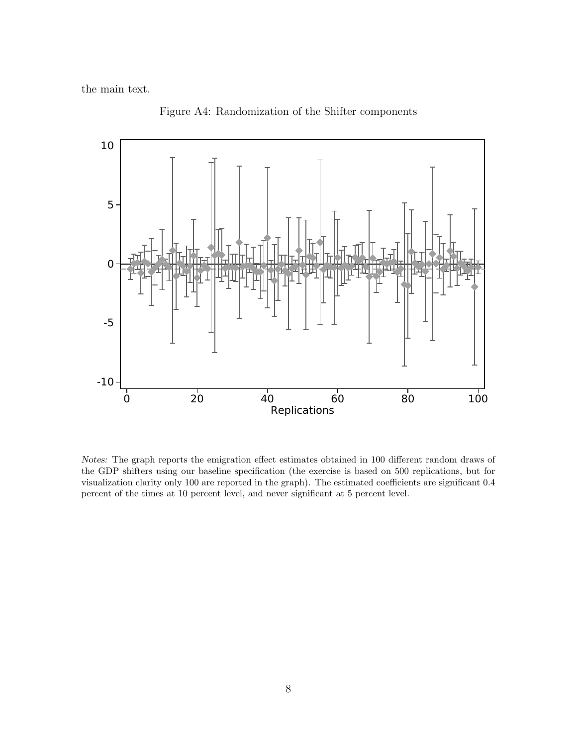the main text.



Figure A4: Randomization of the Shifter components

Notes: The graph reports the emigration effect estimates obtained in 100 different random draws of the GDP shifters using our baseline specification (the exercise is based on 500 replications, but for visualization clarity only 100 are reported in the graph). The estimated coefficients are significant 0.4 percent of the times at 10 percent level, and never significant at 5 percent level.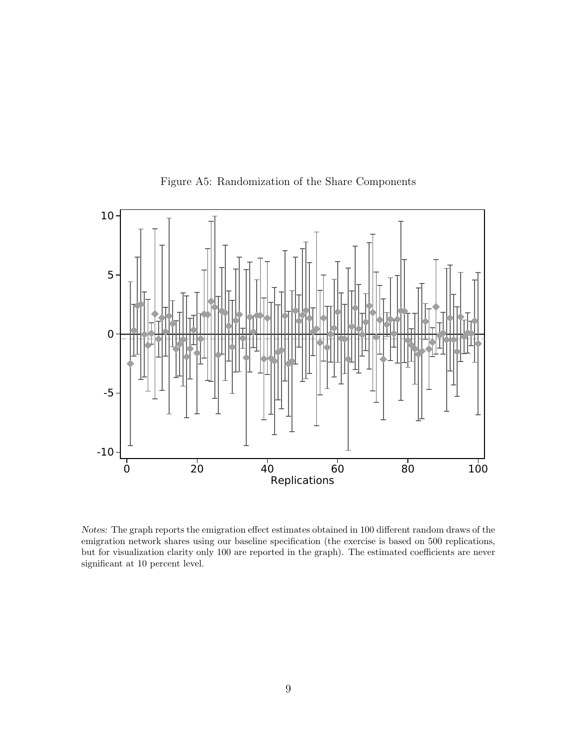

Figure A5: Randomization of the Share Components

Notes: The graph reports the emigration effect estimates obtained in 100 different random draws of the emigration network shares using our baseline specification (the exercise is based on 500 replications, but for visualization clarity only 100 are reported in the graph). The estimated coefficients are never significant at 10 percent level.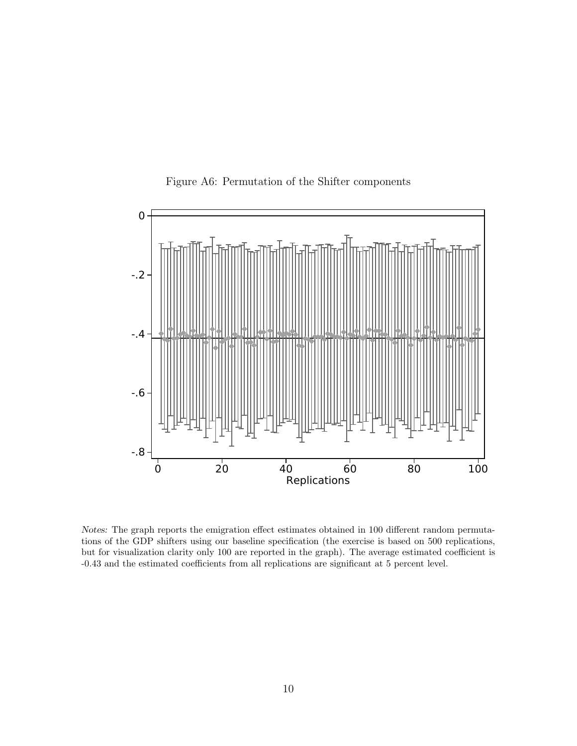

Figure A6: Permutation of the Shifter components

Notes: The graph reports the emigration effect estimates obtained in 100 different random permutations of the GDP shifters using our baseline specification (the exercise is based on 500 replications, but for visualization clarity only 100 are reported in the graph). The average estimated coefficient is -0.43 and the estimated coefficients from all replications are significant at 5 percent level.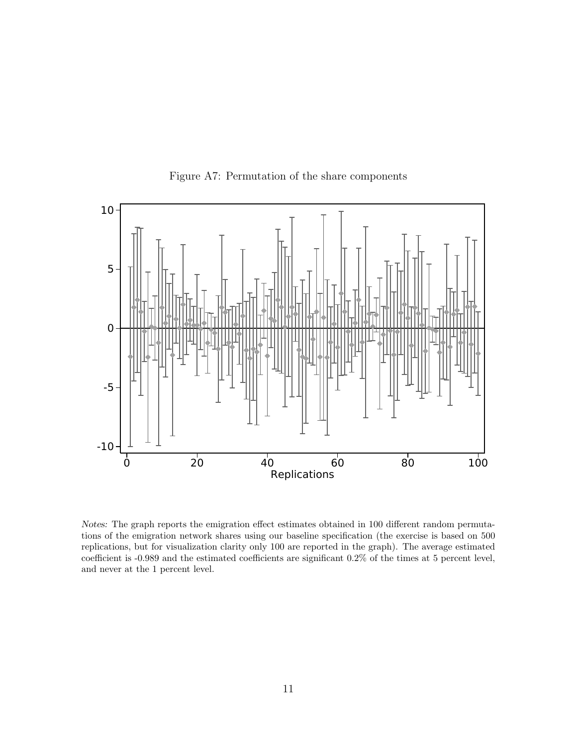

Figure A7: Permutation of the share components

Notes: The graph reports the emigration effect estimates obtained in 100 different random permutations of the emigration network shares using our baseline specification (the exercise is based on 500 replications, but for visualization clarity only 100 are reported in the graph). The average estimated coefficient is -0.989 and the estimated coefficients are significant 0.2% of the times at 5 percent level, and never at the 1 percent level.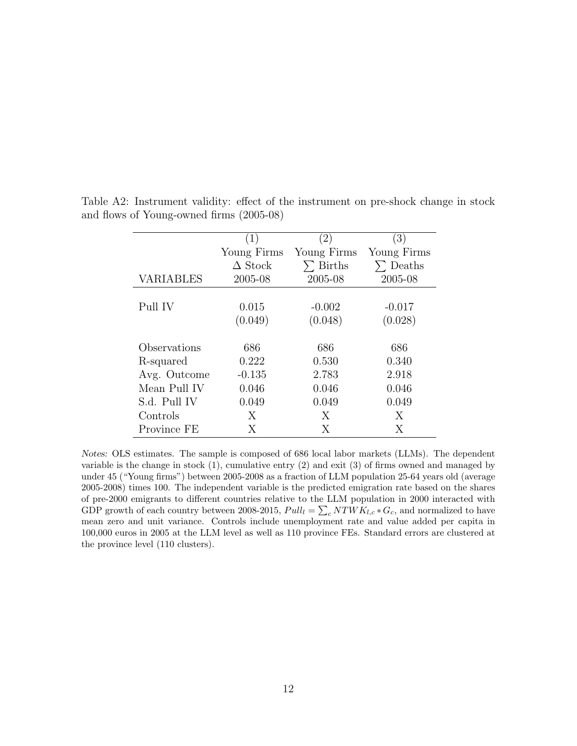|                  | (1)            | (2)             | (3)             |
|------------------|----------------|-----------------|-----------------|
|                  | Young Firms    | Young Firms     | Young Firms     |
|                  | $\Delta$ Stock | $\Sigma$ Births | $\Sigma$ Deaths |
| <b>VARIABLES</b> | 2005-08        | 2005-08         | 2005-08         |
|                  |                |                 |                 |
| Pull IV          | 0.015          | $-0.002$        | $-0.017$        |
|                  | (0.049)        | (0.048)         | (0.028)         |
|                  |                |                 |                 |
| Observations     | 686            | 686             | 686             |
| R-squared        | 0.222          | 0.530           | 0.340           |
| Avg. Outcome     | $-0.135$       | 2.783           | 2.918           |
| Mean Pull IV     | 0.046          | 0.046           | 0.046           |
| S.d. Pull IV     | 0.049          | 0.049           | 0.049           |
| Controls         | X              | X               | X               |
| Province FE      | X              | X               | X               |

Table A2: Instrument validity: effect of the instrument on pre-shock change in stock and flows of Young-owned firms (2005-08)

Notes: OLS estimates. The sample is composed of 686 local labor markets (LLMs). The dependent variable is the change in stock (1), cumulative entry (2) and exit (3) of firms owned and managed by under 45 ("Young firms") between 2005-2008 as a fraction of LLM population 25-64 years old (average 2005-2008) times 100. The independent variable is the predicted emigration rate based on the shares of pre-2000 emigrants to different countries relative to the LLM population in 2000 interacted with GDP growth of each country between 2008-2015,  $Pull_l = \sum_c N T W K_{l,c} * G_c$ , and normalized to have mean zero and unit variance. Controls include unemployment rate and value added per capita in 100,000 euros in 2005 at the LLM level as well as 110 province FEs. Standard errors are clustered at the province level (110 clusters).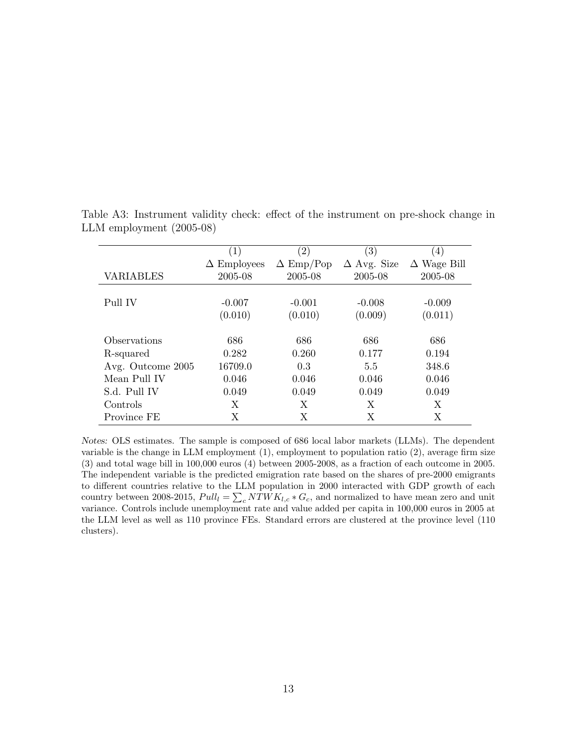|                            | $\left(1\right)$   | $\left( 2\right)$ | $\left( 3\right)$  | $\left( 4\right)$  |
|----------------------------|--------------------|-------------------|--------------------|--------------------|
|                            | $\Delta$ Employees | $\Delta$ Emp/Pop  | $\Delta$ Avg. Size | $\Delta$ Wage Bill |
| VARIABLES                  | 2005-08            | 2005-08           | 2005-08            | 2005-08            |
|                            |                    |                   |                    |                    |
| Pull IV                    | $-0.007$           | $-0.001$          | $-0.008$           | $-0.009$           |
|                            | (0.010)            | (0.010)           | (0.009)            | (0.011)            |
|                            |                    |                   |                    |                    |
| <i><b>Observations</b></i> | 686                | 686               | 686                | 686                |
| R-squared                  | 0.282              | 0.260             | 0.177              | 0.194              |
| Avg. Outcome 2005          | 16709.0            | 0.3               | 5.5                | 348.6              |
| Mean Pull IV               | 0.046              | 0.046             | 0.046              | 0.046              |
| S.d. Pull IV               | 0.049              | 0.049             | 0.049              | 0.049              |
| Controls                   | X                  | X                 | X                  | X                  |
| Province FE                | Х                  | Х                 | Х                  | Х                  |

Table A3: Instrument validity check: effect of the instrument on pre-shock change in LLM employment (2005-08)

Notes: OLS estimates. The sample is composed of 686 local labor markets (LLMs). The dependent variable is the change in LLM employment (1), employment to population ratio (2), average firm size (3) and total wage bill in 100,000 euros (4) between 2005-2008, as a fraction of each outcome in 2005. The independent variable is the predicted emigration rate based on the shares of pre-2000 emigrants to different countries relative to the LLM population in 2000 interacted with GDP growth of each country between 2008-2015,  $Pull_l = \sum_c N T W K_{l,c} * G_c$ , and normalized to have mean zero and unit variance. Controls include unemployment rate and value added per capita in 100,000 euros in 2005 at the LLM level as well as 110 province FEs. Standard errors are clustered at the province level (110 clusters).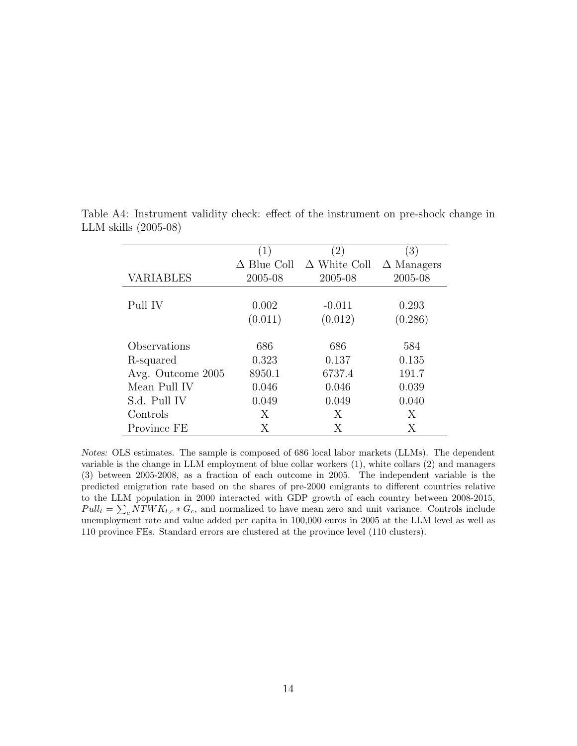|                   | $\left(1\right)$   | (2)                 | $\left(3\right)$  |
|-------------------|--------------------|---------------------|-------------------|
|                   | $\Delta$ Blue Coll | $\Delta$ White Coll | $\Delta$ Managers |
| <b>VARIABLES</b>  | 2005-08            | 2005-08             | 2005-08           |
|                   |                    |                     |                   |
| Pull IV           | 0.002              | $-0.011$            | 0.293             |
|                   | (0.011)            | (0.012)             | (0.286)           |
|                   |                    |                     |                   |
| Observations      | 686                | 686                 | 584               |
| R-squared         | 0.323              | 0.137               | 0.135             |
| Avg. Outcome 2005 | 8950.1             | 6737.4              | 191.7             |
| Mean Pull IV      | 0.046              | 0.046               | 0.039             |
| S.d. Pull IV      | 0.049              | 0.049               | 0.040             |
| Controls          | X                  | X                   | Χ                 |
| Province FE       | Х                  | Х                   | Χ                 |

Table A4: Instrument validity check: effect of the instrument on pre-shock change in LLM skills (2005-08)

Notes: OLS estimates. The sample is composed of 686 local labor markets (LLMs). The dependent variable is the change in LLM employment of blue collar workers (1), white collars (2) and managers (3) between 2005-2008, as a fraction of each outcome in 2005. The independent variable is the predicted emigration rate based on the shares of pre-2000 emigrants to different countries relative to the LLM population in 2000 interacted with GDP growth of each country between 2008-2015,  $Pull_l = \sum_c NTWK_{l,c} * G_c$ , and normalized to have mean zero and unit variance. Controls include unemployment rate and value added per capita in 100,000 euros in 2005 at the LLM level as well as 110 province FEs. Standard errors are clustered at the province level (110 clusters).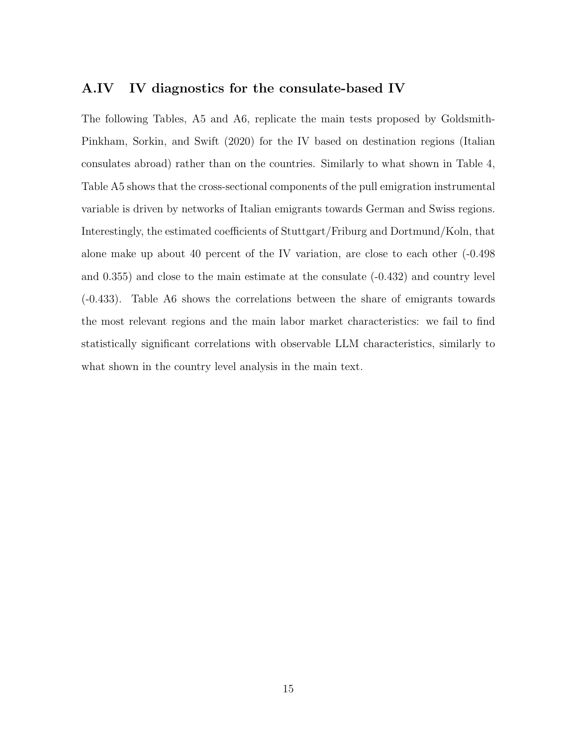#### A.IV IV diagnostics for the consulate-based IV

The following Tables, A5 and A6, replicate the main tests proposed by Goldsmith-Pinkham, Sorkin, and Swift (2020) for the IV based on destination regions (Italian consulates abroad) rather than on the countries. Similarly to what shown in Table 4, Table A5 shows that the cross-sectional components of the pull emigration instrumental variable is driven by networks of Italian emigrants towards German and Swiss regions. Interestingly, the estimated coefficients of Stuttgart/Friburg and Dortmund/Koln, that alone make up about 40 percent of the IV variation, are close to each other (-0.498 and 0.355) and close to the main estimate at the consulate (-0.432) and country level (-0.433). Table A6 shows the correlations between the share of emigrants towards the most relevant regions and the main labor market characteristics: we fail to find statistically significant correlations with observable LLM characteristics, similarly to what shown in the country level analysis in the main text.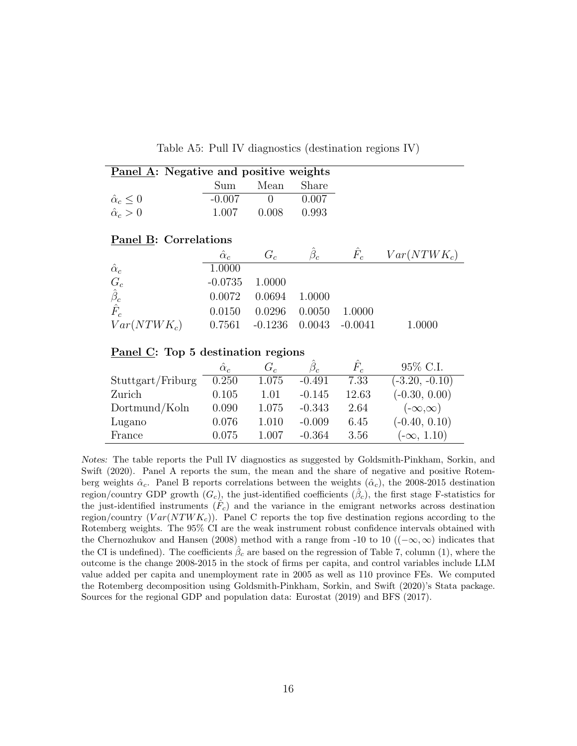Table A5: Pull IV diagnostics (destination regions IV)

|                         | Panel A: Negative and positive weights |                |       |
|-------------------------|----------------------------------------|----------------|-------|
|                         |                                        | Sum Mean Share |       |
| $\hat{\alpha}_c \leq 0$ | $-0.007$                               | $\bigcap$      | 0.007 |
| $\hat{\alpha}_c > 0$    | 1.007                                  | 0.008          | 0.993 |

#### Panel B: Correlations

|                                             | $\hat{\alpha}_c$ | $G_c$                               | $\beta_c$ | $F_c$ | $Var(NTWK_c)$ |
|---------------------------------------------|------------------|-------------------------------------|-----------|-------|---------------|
| $\hat{\alpha}_c$                            | 1.0000           |                                     |           |       |               |
|                                             | $-0.0735$ 1.0000 |                                     |           |       |               |
| $\overset{\rightharpoonup }{\beta _c }$     |                  | $0.0072$ $0.0694$ $1.0000$          |           |       |               |
| $\hat{F}_c$                                 |                  | $0.0150$ $0.0296$ $0.0050$ $1.0000$ |           |       |               |
| $Var(NTWK_c)$ 0.7561 -0.1236 0.0043 -0.0041 |                  |                                     |           |       | 1.0000        |

#### Panel C: Top 5 destination regions

|                   | $\alpha_c$ | $G_c$ |          | $F_c$ | 95\% C.I.          |
|-------------------|------------|-------|----------|-------|--------------------|
| Stuttgart/Friburg | 0.250      | 1.075 | $-0.491$ | 7.33  | $(-3.20, -0.10)$   |
| Zurich            | 0.105      | 1.01  | $-0.145$ | 12.63 | $(-0.30, 0.00)$    |
| Dortmund/Koln     | 0.090      | 1.075 | $-0.343$ | 2.64  | $(-\infty,\infty)$ |
| Lugano            | 0.076      | 1.010 | $-0.009$ | 6.45  | $(-0.40, 0.10)$    |
| France            | 0.075      | 1.007 | $-0.364$ | 3.56  | $(-\infty, 1.10)$  |

Notes: The table reports the Pull IV diagnostics as suggested by Goldsmith-Pinkham, Sorkin, and Swift (2020). Panel A reports the sum, the mean and the share of negative and positive Rotemberg weights  $\hat{\alpha}_c$ . Panel B reports correlations between the weights  $(\hat{\alpha}_c)$ , the 2008-2015 destination region/country GDP growth  $(G_c)$ , the just-identified coefficients  $(\hat{\beta}_c)$ , the first stage F-statistics for the just-identified instruments  $(\hat{F}_c)$  and the variance in the emigrant networks across destination region/country  $(Var(NTWK<sub>c</sub>))$ . Panel C reports the top five destination regions according to the Rotemberg weights. The 95% CI are the weak instrument robust confidence intervals obtained with the Chernozhukov and Hansen (2008) method with a range from -10 to 10 ( $(-\infty, \infty)$  indicates that the CI is undefined). The coefficients  $\hat{\beta}_c$  are based on the regression of Table 7, column (1), where the outcome is the change 2008-2015 in the stock of firms per capita, and control variables include LLM value added per capita and unemployment rate in 2005 as well as 110 province FEs. We computed the Rotemberg decomposition using Goldsmith-Pinkham, Sorkin, and Swift (2020)'s Stata package. Sources for the regional GDP and population data: Eurostat (2019) and BFS (2017).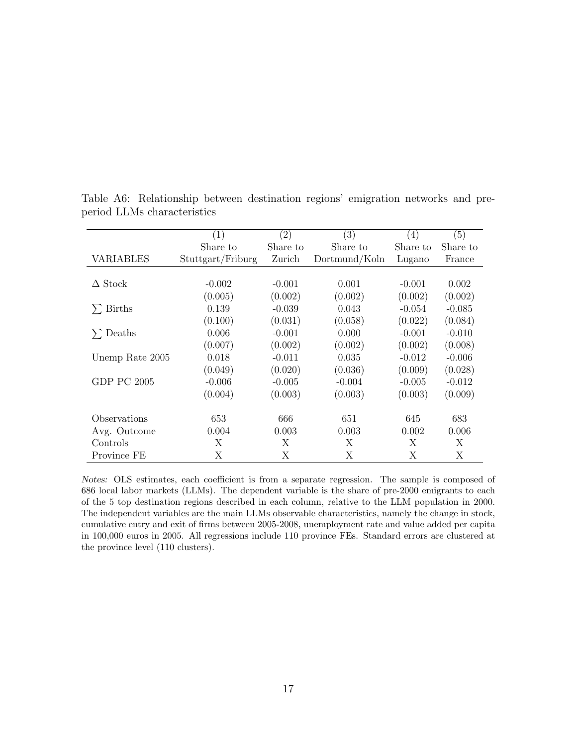|                    | $\left( 1\right)$ | $\left( 2\right)$ | (3)           | $\left(4\right)$ | (5)      |
|--------------------|-------------------|-------------------|---------------|------------------|----------|
|                    | Share to          | Share to          | Share to      | Share to         | Share to |
| VARIABLES          | Stuttgart/Friburg | Zurich            | Dortmund/Koln | Lugano           | France   |
|                    |                   |                   |               |                  |          |
| $\Delta$ Stock     | $-0.002$          | $-0.001$          | 0.001         | $-0.001$         | 0.002    |
|                    | (0.005)           | (0.002)           | (0.002)       | (0.002)          | (0.002)  |
| $\Sigma$ Births    | 0.139             | $-0.039$          | 0.043         | $-0.054$         | $-0.085$ |
|                    | (0.100)           | (0.031)           | (0.058)       | (0.022)          | (0.084)  |
| $\Sigma$ Deaths    | 0.006             | $-0.001$          | 0.000         | $-0.001$         | $-0.010$ |
|                    | (0.007)           | (0.002)           | (0.002)       | (0.002)          | (0.008)  |
| Unemp Rate 2005    | 0.018             | $-0.011$          | 0.035         | $-0.012$         | $-0.006$ |
|                    | (0.049)           | (0.020)           | (0.036)       | (0.009)          | (0.028)  |
| <b>GDP PC 2005</b> | $-0.006$          | $-0.005$          | $-0.004$      | $-0.005$         | $-0.012$ |
|                    | (0.004)           | (0.003)           | (0.003)       | (0.003)          | (0.009)  |
|                    |                   |                   |               |                  |          |
| Observations       | 653               | 666               | 651           | 645              | 683      |
| Avg. Outcome       | 0.004             | 0.003             | 0.003         | 0.002            | 0.006    |
| Controls           | X                 | X                 | X             | X                | X        |
| Province FE        | X                 | Х                 | Х             | Х                | X        |

Table A6: Relationship between destination regions' emigration networks and preperiod LLMs characteristics

Notes: OLS estimates, each coefficient is from a separate regression. The sample is composed of 686 local labor markets (LLMs). The dependent variable is the share of pre-2000 emigrants to each of the 5 top destination regions described in each column, relative to the LLM population in 2000. The independent variables are the main LLMs observable characteristics, namely the change in stock, cumulative entry and exit of firms between 2005-2008, unemployment rate and value added per capita in 100,000 euros in 2005. All regressions include 110 province FEs. Standard errors are clustered at the province level (110 clusters).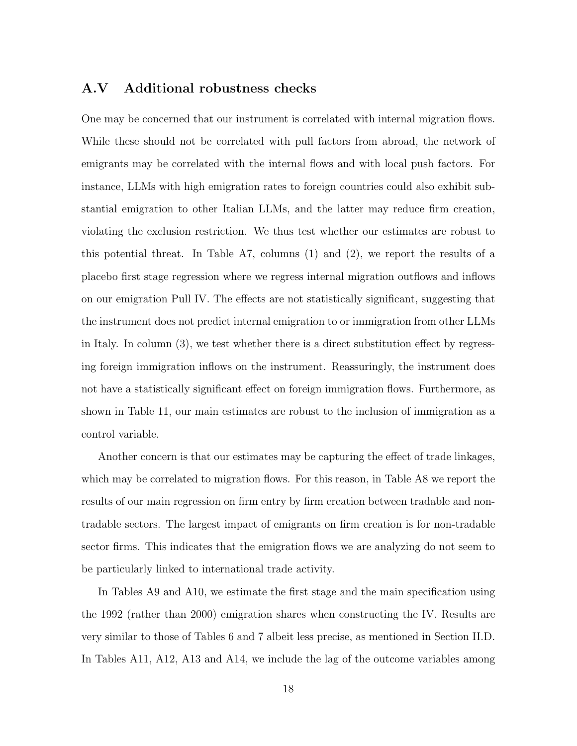#### A.V Additional robustness checks

One may be concerned that our instrument is correlated with internal migration flows. While these should not be correlated with pull factors from abroad, the network of emigrants may be correlated with the internal flows and with local push factors. For instance, LLMs with high emigration rates to foreign countries could also exhibit substantial emigration to other Italian LLMs, and the latter may reduce firm creation, violating the exclusion restriction. We thus test whether our estimates are robust to this potential threat. In Table A7, columns (1) and (2), we report the results of a placebo first stage regression where we regress internal migration outflows and inflows on our emigration Pull IV. The effects are not statistically significant, suggesting that the instrument does not predict internal emigration to or immigration from other LLMs in Italy. In column (3), we test whether there is a direct substitution effect by regressing foreign immigration inflows on the instrument. Reassuringly, the instrument does not have a statistically significant effect on foreign immigration flows. Furthermore, as shown in Table 11, our main estimates are robust to the inclusion of immigration as a control variable.

Another concern is that our estimates may be capturing the effect of trade linkages, which may be correlated to migration flows. For this reason, in Table A8 we report the results of our main regression on firm entry by firm creation between tradable and nontradable sectors. The largest impact of emigrants on firm creation is for non-tradable sector firms. This indicates that the emigration flows we are analyzing do not seem to be particularly linked to international trade activity.

In Tables A9 and A10, we estimate the first stage and the main specification using the 1992 (rather than 2000) emigration shares when constructing the IV. Results are very similar to those of Tables 6 and 7 albeit less precise, as mentioned in Section II.D. In Tables A11, A12, A13 and A14, we include the lag of the outcome variables among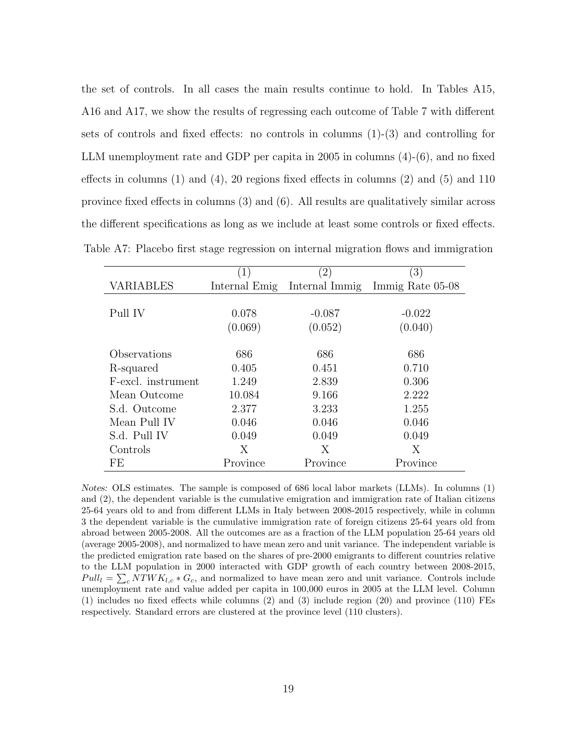the set of controls. In all cases the main results continue to hold. In Tables A15, A16 and A17, we show the results of regressing each outcome of Table 7 with different sets of controls and fixed effects: no controls in columns (1)-(3) and controlling for LLM unemployment rate and GDP per capita in 2005 in columns (4)-(6), and no fixed effects in columns (1) and (4), 20 regions fixed effects in columns (2) and (5) and 110 province fixed effects in columns (3) and (6). All results are qualitatively similar across the different specifications as long as we include at least some controls or fixed effects.

|                    | $\left( 1\right)$ | $\left(2\right)$ | $\left(3\right)$ |
|--------------------|-------------------|------------------|------------------|
| <b>VARIABLES</b>   | Internal Emig     | Internal Immig   | Immig Rate 05-08 |
|                    |                   |                  |                  |
| Pull IV            | 0.078             | $-0.087$         | $-0.022$         |
|                    | (0.069)           | (0.052)          | (0.040)          |
|                    |                   |                  |                  |
| Observations       | 686               | 686              | 686              |
| R-squared          | 0.405             | 0.451            | 0.710            |
| F-excl. instrument | 1.249             | 2.839            | 0.306            |
| Mean Outcome       | 10.084            | 9.166            | 2.222            |
| S.d. Outcome       | 2.377             | 3.233            | 1.255            |
| Mean Pull IV       | 0.046             | 0.046            | 0.046            |
| S.d. Pull IV       | 0.049             | 0.049            | 0.049            |
| Controls           | X                 | Х                | X                |
| FE                 | Province          | Province         | Province         |

Table A7: Placebo first stage regression on internal migration flows and immigration

Notes: OLS estimates. The sample is composed of 686 local labor markets (LLMs). In columns (1) and (2), the dependent variable is the cumulative emigration and immigration rate of Italian citizens 25-64 years old to and from different LLMs in Italy between 2008-2015 respectively, while in column 3 the dependent variable is the cumulative immigration rate of foreign citizens 25-64 years old from abroad between 2005-2008. All the outcomes are as a fraction of the LLM population 25-64 years old (average 2005-2008), and normalized to have mean zero and unit variance. The independent variable is the predicted emigration rate based on the shares of pre-2000 emigrants to different countries relative to the LLM population in 2000 interacted with GDP growth of each country between 2008-2015,  $Pull_l = \sum_c NTWK_{l,c} * G_c$ , and normalized to have mean zero and unit variance. Controls include unemployment rate and value added per capita in 100,000 euros in 2005 at the LLM level. Column (1) includes no fixed effects while columns (2) and (3) include region (20) and province (110) FEs respectively. Standard errors are clustered at the province level (110 clusters).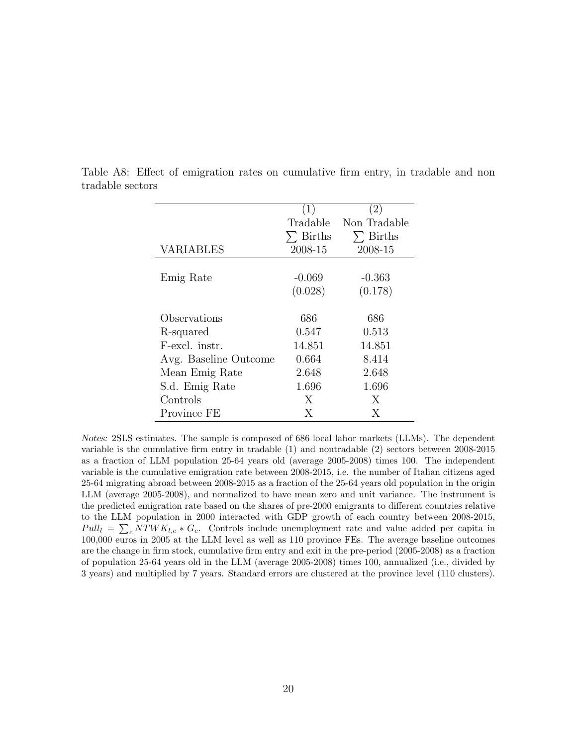|                       | (1)             | (2)             |
|-----------------------|-----------------|-----------------|
|                       | Tradable        | Non Tradable    |
|                       | $\Sigma$ Births | $\Sigma$ Births |
| <b>VARIABLES</b>      | 2008-15         | 2008-15         |
|                       |                 |                 |
| Emig Rate             | $-0.069$        | $-0.363$        |
|                       | (0.028)         | (0.178)         |
|                       |                 |                 |
| Observations          | 686             | 686             |
| R-squared             | 0.547           | 0.513           |
| F-excl. instr.        | 14.851          | 14.851          |
| Avg. Baseline Outcome | 0.664           | 8.414           |
| Mean Emig Rate        | 2.648           | 2.648           |
| S.d. Emig Rate        | 1.696           | 1.696           |
| Controls              | X               | X               |
| Province FE           | Χ               | X               |

Table A8: Effect of emigration rates on cumulative firm entry, in tradable and non tradable sectors

Notes: 2SLS estimates. The sample is composed of 686 local labor markets (LLMs). The dependent variable is the cumulative firm entry in tradable (1) and nontradable (2) sectors between 2008-2015 as a fraction of LLM population 25-64 years old (average 2005-2008) times 100. The independent variable is the cumulative emigration rate between 2008-2015, i.e. the number of Italian citizens aged 25-64 migrating abroad between 2008-2015 as a fraction of the 25-64 years old population in the origin LLM (average 2005-2008), and normalized to have mean zero and unit variance. The instrument is the predicted emigration rate based on the shares of pre-2000 emigrants to different countries relative to the LLM population in 2000 interacted with GDP growth of each country between 2008-2015,  $Pull_l = \sum_c N T W K_{l,c} * G_c$ . Controls include unemployment rate and value added per capita in 100,000 euros in 2005 at the LLM level as well as 110 province FEs. The average baseline outcomes are the change in firm stock, cumulative firm entry and exit in the pre-period (2005-2008) as a fraction of population 25-64 years old in the LLM (average 2005-2008) times 100, annualized (i.e., divided by 3 years) and multiplied by 7 years. Standard errors are clustered at the province level (110 clusters).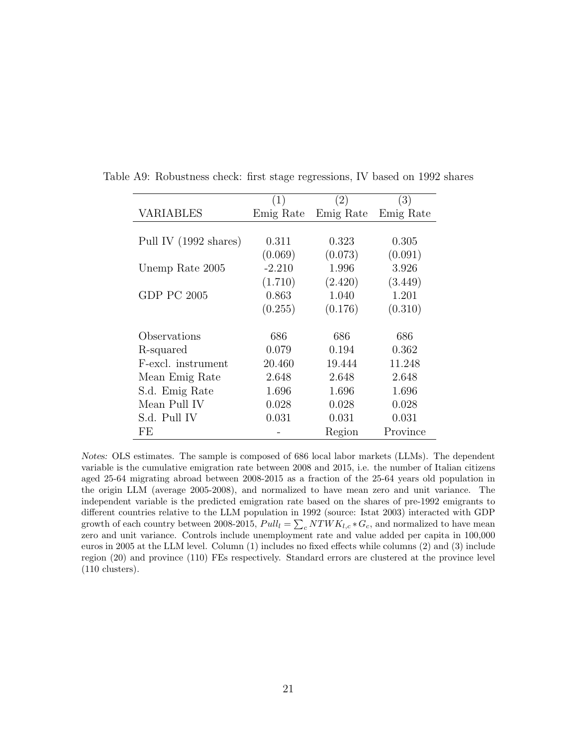|                       | (1)       | (2)       | (3)       |
|-----------------------|-----------|-----------|-----------|
| VARIABLES             | Emig Rate | Emig Rate | Emig Rate |
|                       |           |           |           |
| Pull IV (1992 shares) | 0.311     | 0.323     | 0.305     |
|                       | (0.069)   | (0.073)   | (0.091)   |
| Unemp Rate 2005       | $-2.210$  | 1.996     | 3.926     |
|                       | (1.710)   | (2.420)   | (3.449)   |
| GDP PC 2005           | 0.863     | 1.040     | 1.201     |
|                       | (0.255)   | (0.176)   | (0.310)   |
| Observations          | 686       | 686       | 686       |
| R-squared             | 0.079     | 0.194     | 0.362     |
| F-excl. instrument    | 20.460    | 19.444    | 11.248    |
| Mean Emig Rate        | 2.648     | 2.648     | 2.648     |
| S.d. Emig Rate        | 1.696     | 1.696     | 1.696     |
| Mean Pull IV          | 0.028     | 0.028     | 0.028     |
| S.d. Pull IV          | 0.031     | 0.031     | 0.031     |
| FE                    |           | Region    | Province  |

Table A9: Robustness check: first stage regressions, IV based on 1992 shares

Notes: OLS estimates. The sample is composed of 686 local labor markets (LLMs). The dependent variable is the cumulative emigration rate between 2008 and 2015, i.e. the number of Italian citizens aged 25-64 migrating abroad between 2008-2015 as a fraction of the 25-64 years old population in the origin LLM (average 2005-2008), and normalized to have mean zero and unit variance. The independent variable is the predicted emigration rate based on the shares of pre-1992 emigrants to different countries relative to the LLM population in 1992 (source: Istat 2003) interacted with GDP growth of each country between 2008-2015,  $Pull_l = \sum_c N T W K_{l,c} * G_c$ , and normalized to have mean zero and unit variance. Controls include unemployment rate and value added per capita in 100,000 euros in 2005 at the LLM level. Column (1) includes no fixed effects while columns (2) and (3) include region (20) and province (110) FEs respectively. Standard errors are clustered at the province level (110 clusters).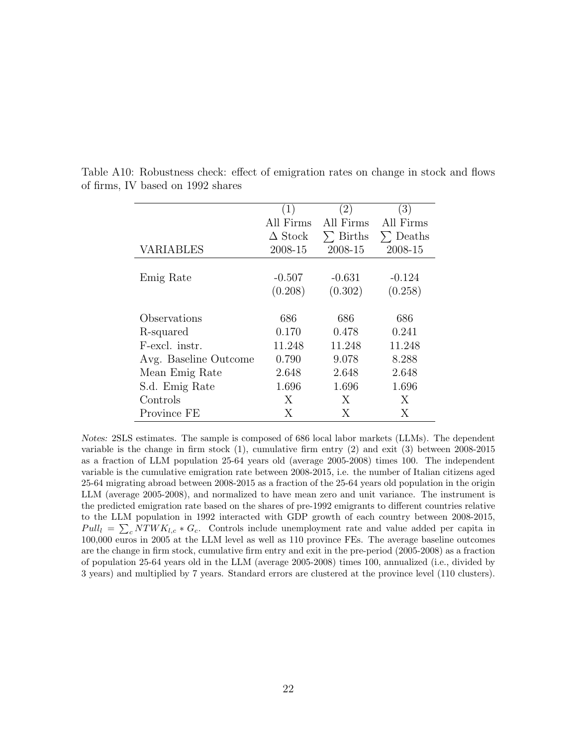|                       | (1)            | $\left( 2\right)$ | $\left( 3\right)$ |
|-----------------------|----------------|-------------------|-------------------|
|                       | All Firms      | All Firms         | All Firms         |
|                       | $\Delta$ Stock | $\Sigma$ Births   | $\Sigma$ Deaths   |
| <b>VARIABLES</b>      | 2008-15        | 2008-15           | 2008-15           |
|                       |                |                   |                   |
| Emig Rate             | $-0.507$       | $-0.631$          | $-0.124$          |
|                       | (0.208)        | (0.302)           | (0.258)           |
|                       |                |                   |                   |
| Observations          | 686            | 686               | 686               |
| R-squared             | 0.170          | 0.478             | 0.241             |
| F-excl. instr.        | 11.248         | 11.248            | 11.248            |
| Avg. Baseline Outcome | 0.790          | 9.078             | 8.288             |
| Mean Emig Rate        | 2.648          | 2.648             | 2.648             |
| S.d. Emig Rate        | 1.696          | 1.696             | 1.696             |
| Controls              | X              | X                 | X                 |
| Province FE           | Х              | X                 | X                 |

Table A10: Robustness check: effect of emigration rates on change in stock and flows of firms, IV based on 1992 shares

Notes: 2SLS estimates. The sample is composed of 686 local labor markets (LLMs). The dependent variable is the change in firm stock (1), cumulative firm entry (2) and exit (3) between 2008-2015 as a fraction of LLM population 25-64 years old (average 2005-2008) times 100. The independent variable is the cumulative emigration rate between 2008-2015, i.e. the number of Italian citizens aged 25-64 migrating abroad between 2008-2015 as a fraction of the 25-64 years old population in the origin LLM (average 2005-2008), and normalized to have mean zero and unit variance. The instrument is the predicted emigration rate based on the shares of pre-1992 emigrants to different countries relative to the LLM population in 1992 interacted with GDP growth of each country between 2008-2015,  $Pull_l = \sum_c N T W K_{l,c} * G_c$ . Controls include unemployment rate and value added per capita in 100,000 euros in 2005 at the LLM level as well as 110 province FEs. The average baseline outcomes are the change in firm stock, cumulative firm entry and exit in the pre-period (2005-2008) as a fraction of population 25-64 years old in the LLM (average 2005-2008) times 100, annualized (i.e., divided by 3 years) and multiplied by 7 years. Standard errors are clustered at the province level (110 clusters).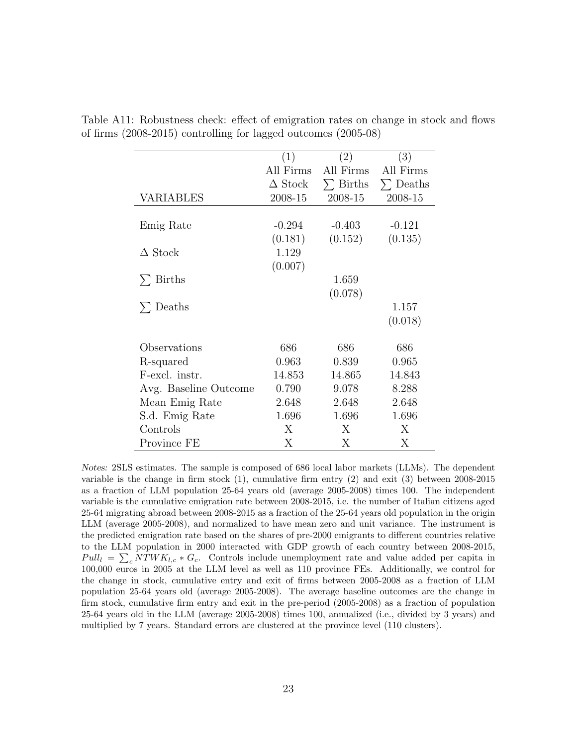|                       | (1)            | (2)             | (3)             |
|-----------------------|----------------|-----------------|-----------------|
|                       | All Firms      | All Firms       | All Firms       |
|                       | $\Delta$ Stock | $\Sigma$ Births | $\Sigma$ Deaths |
| VARIABLES             | 2008-15        | 2008-15         | 2008-15         |
|                       |                |                 |                 |
| Emig Rate             | $-0.294$       | $-0.403$        | $-0.121$        |
|                       | (0.181)        | (0.152)         | (0.135)         |
| $\Delta$ Stock        | 1.129          |                 |                 |
|                       | (0.007)        |                 |                 |
| $\Sigma$ Births       |                | 1.659           |                 |
|                       |                | (0.078)         |                 |
| $\sum$ Deaths         |                |                 | 1.157           |
|                       |                |                 | (0.018)         |
|                       |                |                 |                 |
| Observations          | 686            | 686             | 686             |
| R-squared             | 0.963          | 0.839           | 0.965           |
| F-excl. instr.        | 14.853         | 14.865          | 14.843          |
| Avg. Baseline Outcome | 0.790          | 9.078           | 8.288           |
| Mean Emig Rate        | 2.648          | 2.648           | 2.648           |
| S.d. Emig Rate        | 1.696          | 1.696           | 1.696           |
| Controls              | X              | X               | X               |
| Province FE           | X              | Χ               | X               |

Table A11: Robustness check: effect of emigration rates on change in stock and flows of firms (2008-2015) controlling for lagged outcomes (2005-08)

Notes: 2SLS estimates. The sample is composed of 686 local labor markets (LLMs). The dependent variable is the change in firm stock (1), cumulative firm entry (2) and exit (3) between 2008-2015 as a fraction of LLM population 25-64 years old (average 2005-2008) times 100. The independent variable is the cumulative emigration rate between 2008-2015, i.e. the number of Italian citizens aged 25-64 migrating abroad between 2008-2015 as a fraction of the 25-64 years old population in the origin LLM (average 2005-2008), and normalized to have mean zero and unit variance. The instrument is the predicted emigration rate based on the shares of pre-2000 emigrants to different countries relative to the LLM population in 2000 interacted with GDP growth of each country between 2008-2015,  $Pull_l = \sum_c N T W K_{l,c} * G_c$ . Controls include unemployment rate and value added per capita in 100,000 euros in 2005 at the LLM level as well as 110 province FEs. Additionally, we control for the change in stock, cumulative entry and exit of firms between 2005-2008 as a fraction of LLM population 25-64 years old (average 2005-2008). The average baseline outcomes are the change in firm stock, cumulative firm entry and exit in the pre-period (2005-2008) as a fraction of population 25-64 years old in the LLM (average 2005-2008) times 100, annualized (i.e., divided by 3 years) and multiplied by 7 years. Standard errors are clustered at the province level (110 clusters).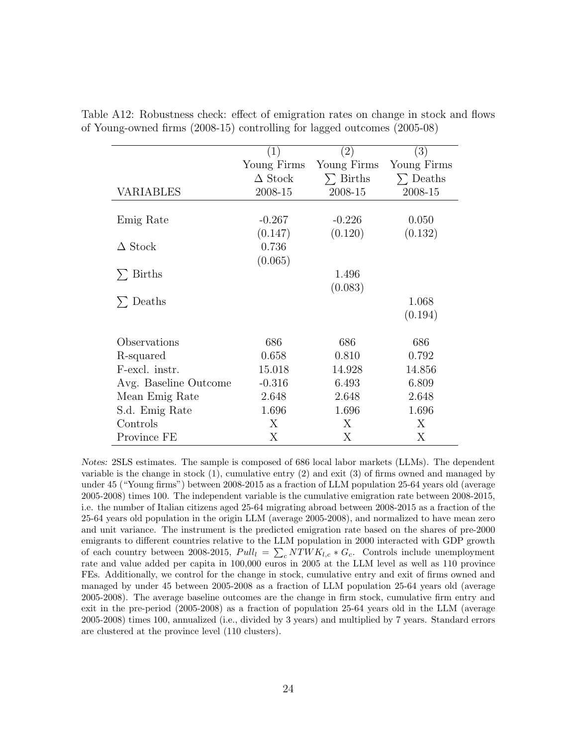|                       | (1)            | (2)             | (3)           |
|-----------------------|----------------|-----------------|---------------|
|                       | Young Firms    | Young Firms     | Young Firms   |
|                       | $\Delta$ Stock | $\Sigma$ Births | $\sum$ Deaths |
| VARIABLES             | 2008-15        | 2008-15         | 2008-15       |
|                       |                |                 |               |
| Emig Rate             | $-0.267$       | $-0.226$        | 0.050         |
|                       | (0.147)        | (0.120)         | (0.132)       |
| $\Delta$ Stock        | 0.736          |                 |               |
|                       | (0.065)        |                 |               |
| $\Sigma$ Births       |                | 1.496           |               |
|                       |                | (0.083)         |               |
| $\sum$ Deaths         |                |                 | 1.068         |
|                       |                |                 | (0.194)       |
|                       |                |                 |               |
| Observations          | 686            | 686             | 686           |
| R-squared             | 0.658          | 0.810           | 0.792         |
| F-excl. instr.        | 15.018         | 14.928          | 14.856        |
| Avg. Baseline Outcome | $-0.316$       | 6.493           | 6.809         |
| Mean Emig Rate        | 2.648          | 2.648           | 2.648         |
| S.d. Emig Rate        | 1.696          | 1.696           | 1.696         |
| Controls              | X              | X               | X             |
| Province FE           | Χ              | Χ               | Χ             |

Table A12: Robustness check: effect of emigration rates on change in stock and flows of Young-owned firms (2008-15) controlling for lagged outcomes (2005-08)

Notes: 2SLS estimates. The sample is composed of 686 local labor markets (LLMs). The dependent variable is the change in stock (1), cumulative entry (2) and exit (3) of firms owned and managed by under 45 ("Young firms") between 2008-2015 as a fraction of LLM population 25-64 years old (average 2005-2008) times 100. The independent variable is the cumulative emigration rate between 2008-2015, i.e. the number of Italian citizens aged 25-64 migrating abroad between 2008-2015 as a fraction of the 25-64 years old population in the origin LLM (average 2005-2008), and normalized to have mean zero and unit variance. The instrument is the predicted emigration rate based on the shares of pre-2000 emigrants to different countries relative to the LLM population in 2000 interacted with GDP growth of each country between 2008-2015,  $Pull_l = \sum_c N T W K_{l,c} * G_c$ . Controls include unemployment rate and value added per capita in 100,000 euros in 2005 at the LLM level as well as 110 province FEs. Additionally, we control for the change in stock, cumulative entry and exit of firms owned and managed by under 45 between 2005-2008 as a fraction of LLM population 25-64 years old (average 2005-2008). The average baseline outcomes are the change in firm stock, cumulative firm entry and exit in the pre-period (2005-2008) as a fraction of population 25-64 years old in the LLM (average 2005-2008) times 100, annualized (i.e., divided by 3 years) and multiplied by 7 years. Standard errors are clustered at the province level (110 clusters).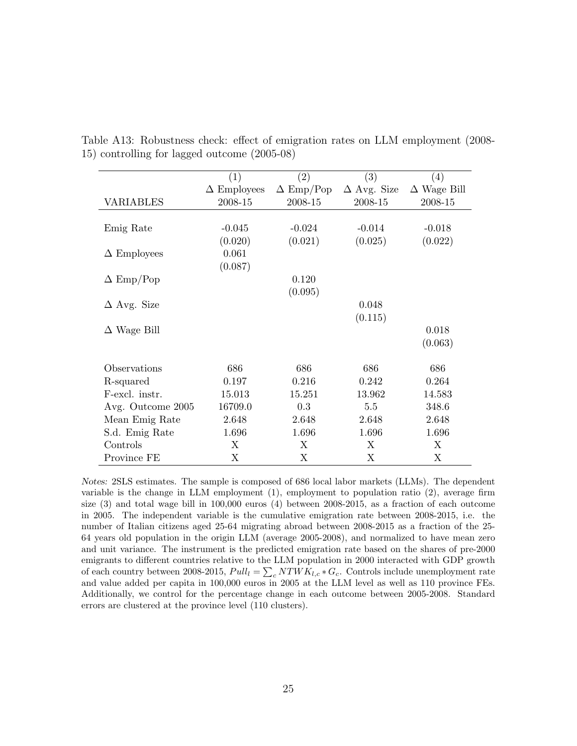|                    | (1)                | (2)              | (3)                | (4)                |
|--------------------|--------------------|------------------|--------------------|--------------------|
|                    | $\Delta$ Employees | $\Delta$ Emp/Pop | $\Delta$ Avg. Size | $\Delta$ Wage Bill |
| <b>VARIABLES</b>   | 2008-15            | 2008-15          | 2008-15            | 2008-15            |
|                    |                    |                  |                    |                    |
| Emig Rate          | $-0.045$           | $-0.024$         | $-0.014$           | $-0.018$           |
|                    | (0.020)            | (0.021)          | (0.025)            | (0.022)            |
| $\Delta$ Employees | 0.061              |                  |                    |                    |
|                    |                    |                  |                    |                    |
|                    | (0.087)            |                  |                    |                    |
| $\Delta$ Emp/Pop   |                    | 0.120            |                    |                    |
|                    |                    | (0.095)          |                    |                    |
| $\Delta$ Avg. Size |                    |                  | 0.048              |                    |
|                    |                    |                  | (0.115)            |                    |
| $\Delta$ Wage Bill |                    |                  |                    | 0.018              |
|                    |                    |                  |                    | (0.063)            |
|                    |                    |                  |                    |                    |
| Observations       | 686                | 686              | 686                | 686                |
| R-squared          | 0.197              | 0.216            | 0.242              | 0.264              |
| F-excl. instr.     | 15.013             | 15.251           | 13.962             | 14.583             |
| Avg. Outcome 2005  | 16709.0            | 0.3              | 5.5                | 348.6              |
| Mean Emig Rate     | 2.648              | 2.648            | 2.648              | 2.648              |
| S.d. Emig Rate     | 1.696              | 1.696            | 1.696              | 1.696              |
| Controls           | X                  | X                | X                  | X                  |
| Province FE        | X                  | Χ                | X                  | X                  |

Table A13: Robustness check: effect of emigration rates on LLM employment (2008- 15) controlling for lagged outcome (2005-08)

Notes: 2SLS estimates. The sample is composed of 686 local labor markets (LLMs). The dependent variable is the change in LLM employment (1), employment to population ratio (2), average firm size (3) and total wage bill in 100,000 euros (4) between 2008-2015, as a fraction of each outcome in 2005. The independent variable is the cumulative emigration rate between 2008-2015, i.e. the number of Italian citizens aged 25-64 migrating abroad between 2008-2015 as a fraction of the 25- 64 years old population in the origin LLM (average 2005-2008), and normalized to have mean zero and unit variance. The instrument is the predicted emigration rate based on the shares of pre-2000 emigrants to different countries relative to the LLM population in 2000 interacted with GDP growth of each country between 2008-2015,  $Pull_l = \sum_c N T W K_{l,c} * G_c$ . Controls include unemployment rate and value added per capita in 100,000 euros in 2005 at the LLM level as well as 110 province FEs. Additionally, we control for the percentage change in each outcome between 2005-2008. Standard errors are clustered at the province level (110 clusters).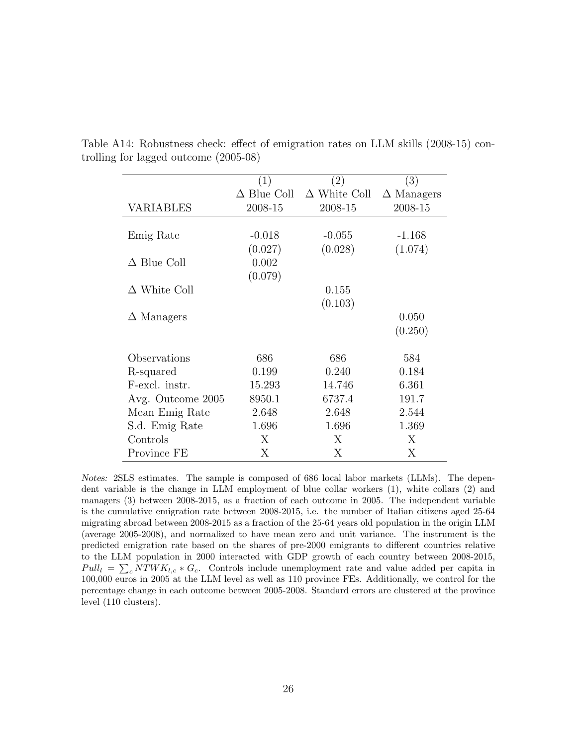|                     | (1)                | (2)                 | $\left( 3\right)$ |
|---------------------|--------------------|---------------------|-------------------|
|                     | $\Delta$ Blue Coll | $\Delta$ White Coll | $\Delta$ Managers |
| VARIABLES           | 2008-15            | 2008-15             | 2008-15           |
|                     |                    |                     |                   |
| Emig Rate           | $-0.018$           | $-0.055$            | $-1.168$          |
|                     | (0.027)            | (0.028)             | (1.074)           |
| $\Delta$ Blue Coll  | 0.002              |                     |                   |
|                     | (0.079)            |                     |                   |
| $\Delta$ White Coll |                    | 0.155               |                   |
|                     |                    | (0.103)             |                   |
| $\Delta$ Managers   |                    |                     | 0.050             |
|                     |                    |                     | (0.250)           |
|                     |                    |                     |                   |
| Observations        | 686                | 686                 | 584               |
| R-squared           | 0.199              | 0.240               | 0.184             |
| F-excl. instr.      | 15.293             | 14.746              | 6.361             |
| Avg. Outcome 2005   | 8950.1             | 6737.4              | 191.7             |
| Mean Emig Rate      | 2.648              | 2.648               | 2.544             |
| S.d. Emig Rate      | 1.696              | 1.696               | 1.369             |
| Controls            | X                  | X                   | X                 |
| Province FE         | X                  | Χ                   | X                 |

Table A14: Robustness check: effect of emigration rates on LLM skills (2008-15) controlling for lagged outcome (2005-08)

Notes: 2SLS estimates. The sample is composed of 686 local labor markets (LLMs). The dependent variable is the change in LLM employment of blue collar workers (1), white collars (2) and managers (3) between 2008-2015, as a fraction of each outcome in 2005. The independent variable is the cumulative emigration rate between 2008-2015, i.e. the number of Italian citizens aged 25-64 migrating abroad between 2008-2015 as a fraction of the 25-64 years old population in the origin LLM (average 2005-2008), and normalized to have mean zero and unit variance. The instrument is the predicted emigration rate based on the shares of pre-2000 emigrants to different countries relative to the LLM population in 2000 interacted with GDP growth of each country between 2008-2015,  $Pull_l = \sum_c N T W K_{l,c} * G_c$ . Controls include unemployment rate and value added per capita in 100,000 euros in 2005 at the LLM level as well as 110 province FEs. Additionally, we control for the percentage change in each outcome between 2005-2008. Standard errors are clustered at the province level (110 clusters).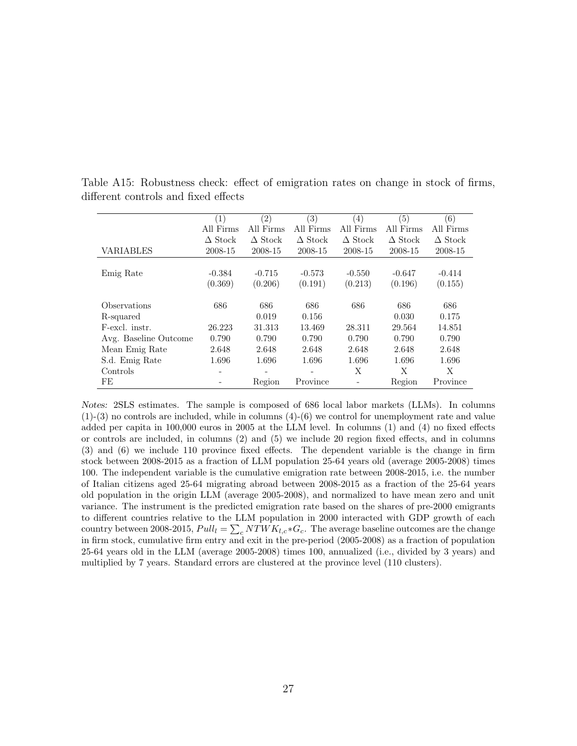|                       | $\left(1\right)$ | $\left( 2\right)$ | $\left(3\right)$ | $\left(4\right)$ | (5)            | (6)            |
|-----------------------|------------------|-------------------|------------------|------------------|----------------|----------------|
|                       | All Firms        | All Firms         | All Firms        | All Firms        | All Firms      | All Firms      |
|                       | $\Delta$ Stock   | $\Delta$ Stock    | $\Delta$ Stock   | $\Delta$ Stock   | $\Delta$ Stock | $\Delta$ Stock |
| <b>VARIABLES</b>      | 2008-15          | 2008-15           | 2008-15          | 2008-15          | 2008-15        | 2008-15        |
|                       |                  |                   |                  |                  |                |                |
| Emig Rate             | $-0.384$         | $-0.715$          | $-0.573$         | $-0.550$         | $-0.647$       | $-0.414$       |
|                       | (0.369)          | (0.206)           | (0.191)          | (0.213)          | (0.196)        | (0.155)        |
|                       |                  |                   |                  |                  |                |                |
| Observations          | 686              | 686               | 686              | 686              | 686            | 686            |
| R-squared             |                  | 0.019             | 0.156            |                  | 0.030          | 0.175          |
| F-excl. instr.        | 26.223           | 31.313            | 13.469           | 28.311           | 29.564         | 14.851         |
| Avg. Baseline Outcome | 0.790            | 0.790             | 0.790            | 0.790            | 0.790          | 0.790          |
| Mean Emig Rate        | 2.648            | 2.648             | 2.648            | 2.648            | 2.648          | 2.648          |
| S.d. Emig Rate        | 1.696            | 1.696             | 1.696            | 1.696            | 1.696          | 1.696          |
| Controls              |                  |                   |                  | X                | Х              | X              |
| FE                    |                  | Region            | Province         |                  | Region         | Province       |

Table A15: Robustness check: effect of emigration rates on change in stock of firms, different controls and fixed effects

Notes: 2SLS estimates. The sample is composed of 686 local labor markets (LLMs). In columns  $(1)-(3)$  no controls are included, while in columns  $(4)-(6)$  we control for unemployment rate and value added per capita in 100,000 euros in 2005 at the LLM level. In columns (1) and (4) no fixed effects or controls are included, in columns (2) and (5) we include 20 region fixed effects, and in columns (3) and (6) we include 110 province fixed effects. The dependent variable is the change in firm stock between 2008-2015 as a fraction of LLM population 25-64 years old (average 2005-2008) times 100. The independent variable is the cumulative emigration rate between 2008-2015, i.e. the number of Italian citizens aged 25-64 migrating abroad between 2008-2015 as a fraction of the 25-64 years old population in the origin LLM (average 2005-2008), and normalized to have mean zero and unit variance. The instrument is the predicted emigration rate based on the shares of pre-2000 emigrants to different countries relative to the LLM population in 2000 interacted with GDP growth of each country between 2008-2015,  $Pull_l = \sum_c NTWK_{l,c}*G_c$ . The average baseline outcomes are the change in firm stock, cumulative firm entry and exit in the pre-period (2005-2008) as a fraction of population 25-64 years old in the LLM (average 2005-2008) times 100, annualized (i.e., divided by 3 years) and multiplied by 7 years. Standard errors are clustered at the province level (110 clusters).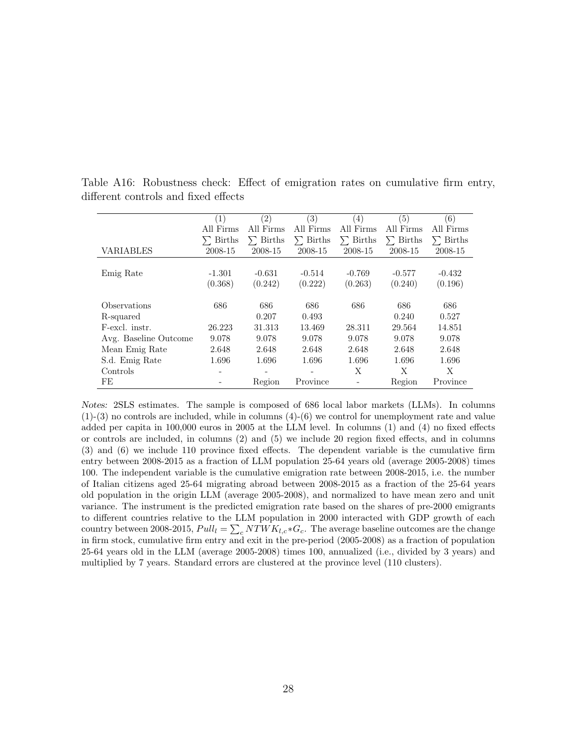|                       | $\left(1\right)$         | $\left( 2\right)$                 | $\left(3\right)$                  | $^{(4)}$      | (5)           | (6)           |
|-----------------------|--------------------------|-----------------------------------|-----------------------------------|---------------|---------------|---------------|
|                       | All Firms                | All Firms                         | All Firms                         | All Firms     | All Firms     | All Firms     |
|                       | <b>Births</b>            | <b>Births</b><br>$\sum_{i=1}^{n}$ | <b>Births</b><br>$\sum_{i=1}^{n}$ | $\sum$ Births | $\sum$ Births | $\sum$ Births |
| VARIABLES             | 2008-15                  | 2008-15                           | 2008-15                           | 2008-15       | 2008-15       | 2008-15       |
|                       |                          |                                   |                                   |               |               |               |
| Emig Rate             | $-1.301$                 | $-0.631$                          | $-0.514$                          | $-0.769$      | $-0.577$      | $-0.432$      |
|                       | (0.368)                  | (0.242)                           | (0.222)                           | (0.263)       | (0.240)       | (0.196)       |
|                       |                          |                                   |                                   |               |               |               |
| Observations          | 686                      | 686                               | 686                               | 686           | 686           | 686           |
| R-squared             |                          | 0.207                             | 0.493                             |               | 0.240         | 0.527         |
| F-excl. instr.        | 26.223                   | 31.313                            | 13.469                            | 28.311        | 29.564        | 14.851        |
| Avg. Baseline Outcome | 9.078                    | 9.078                             | 9.078                             | 9.078         | 9.078         | 9.078         |
| Mean Emig Rate        | 2.648                    | 2.648                             | 2.648                             | 2.648         | 2.648         | 2.648         |
| S.d. Emig Rate        | 1.696                    | 1.696                             | 1.696                             | 1.696         | 1.696         | 1.696         |
| Controls              | $\overline{\phantom{a}}$ |                                   |                                   | X             | Х             | X             |
| FE                    |                          | Region                            | Province                          |               | Region        | Province      |

Table A16: Robustness check: Effect of emigration rates on cumulative firm entry, different controls and fixed effects

Notes: 2SLS estimates. The sample is composed of 686 local labor markets (LLMs). In columns  $(1)-(3)$  no controls are included, while in columns  $(4)-(6)$  we control for unemployment rate and value added per capita in 100,000 euros in 2005 at the LLM level. In columns (1) and (4) no fixed effects or controls are included, in columns (2) and (5) we include 20 region fixed effects, and in columns (3) and (6) we include 110 province fixed effects. The dependent variable is the cumulative firm entry between 2008-2015 as a fraction of LLM population 25-64 years old (average 2005-2008) times 100. The independent variable is the cumulative emigration rate between 2008-2015, i.e. the number of Italian citizens aged 25-64 migrating abroad between 2008-2015 as a fraction of the 25-64 years old population in the origin LLM (average 2005-2008), and normalized to have mean zero and unit variance. The instrument is the predicted emigration rate based on the shares of pre-2000 emigrants to different countries relative to the LLM population in 2000 interacted with GDP growth of each country between 2008-2015,  $Pull_l = \sum_c NTWK_{l,c}*G_c$ . The average baseline outcomes are the change in firm stock, cumulative firm entry and exit in the pre-period (2005-2008) as a fraction of population 25-64 years old in the LLM (average 2005-2008) times 100, annualized (i.e., divided by 3 years) and multiplied by 7 years. Standard errors are clustered at the province level (110 clusters).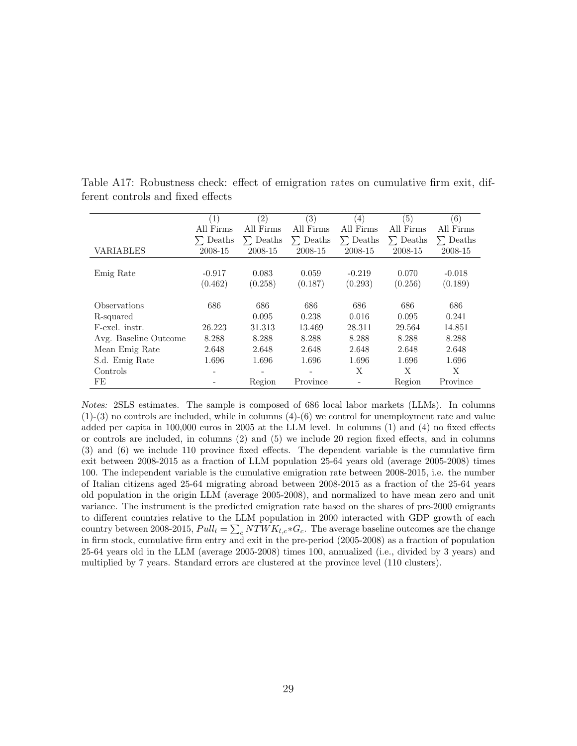|                       | (1)           | (2)       | 3)            | (4)           | <sup>(5)</sup> | (6)       |
|-----------------------|---------------|-----------|---------------|---------------|----------------|-----------|
|                       | All Firms     | All Firms | All Firms     | All Firms     | All Firms      | All Firms |
|                       | $\sum$ Deaths | C Deaths  | $\sum$ Deaths | $\sum$ Deaths | C Deaths       | C Deaths  |
| <b>VARIABLES</b>      | 2008-15       | 2008-15   | 2008-15       | 2008-15       | 2008-15        | 2008-15   |
|                       |               |           |               |               |                |           |
| Emig Rate             | $-0.917$      | 0.083     | 0.059         | $-0.219$      | 0.070          | $-0.018$  |
|                       | (0.462)       | (0.258)   | (0.187)       | (0.293)       | (0.256)        | (0.189)   |
|                       |               |           |               |               |                |           |
| Observations          | 686           | 686       | 686           | 686           | 686            | 686       |
| R-squared             |               | 0.095     | 0.238         | 0.016         | 0.095          | 0.241     |
| F-excl. instr.        | 26.223        | 31.313    | 13.469        | 28.311        | 29.564         | 14.851    |
| Avg. Baseline Outcome | 8.288         | 8.288     | 8.288         | 8.288         | 8.288          | 8.288     |
| Mean Emig Rate        | 2.648         | 2.648     | 2.648         | 2.648         | 2.648          | 2.648     |
| S.d. Emig Rate        | 1.696         | 1.696     | 1.696         | 1.696         | 1.696          | 1.696     |
| Controls              |               |           |               | X             | X              | X         |
| FE                    |               | Region    | Province      |               | Region         | Province  |

Table A17: Robustness check: effect of emigration rates on cumulative firm exit, different controls and fixed effects

Notes: 2SLS estimates. The sample is composed of 686 local labor markets (LLMs). In columns  $(1)-(3)$  no controls are included, while in columns  $(4)-(6)$  we control for unemployment rate and value added per capita in 100,000 euros in 2005 at the LLM level. In columns (1) and (4) no fixed effects or controls are included, in columns (2) and (5) we include 20 region fixed effects, and in columns (3) and (6) we include 110 province fixed effects. The dependent variable is the cumulative firm exit between 2008-2015 as a fraction of LLM population 25-64 years old (average 2005-2008) times 100. The independent variable is the cumulative emigration rate between 2008-2015, i.e. the number of Italian citizens aged 25-64 migrating abroad between 2008-2015 as a fraction of the 25-64 years old population in the origin LLM (average 2005-2008), and normalized to have mean zero and unit variance. The instrument is the predicted emigration rate based on the shares of pre-2000 emigrants to different countries relative to the LLM population in 2000 interacted with GDP growth of each country between 2008-2015,  $Pull_l = \sum_c NTWK_{l,c}*G_c$ . The average baseline outcomes are the change in firm stock, cumulative firm entry and exit in the pre-period (2005-2008) as a fraction of population 25-64 years old in the LLM (average 2005-2008) times 100, annualized (i.e., divided by 3 years) and multiplied by 7 years. Standard errors are clustered at the province level (110 clusters).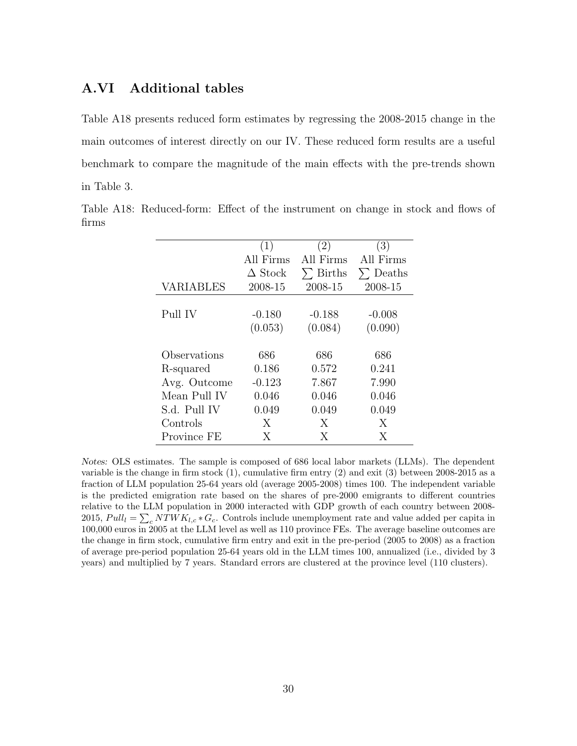#### A.VI Additional tables

Table A18 presents reduced form estimates by regressing the 2008-2015 change in the main outcomes of interest directly on our IV. These reduced form results are a useful benchmark to compare the magnitude of the main effects with the pre-trends shown in Table 3.

Table A18: Reduced-form: Effect of the instrument on change in stock and flows of firms

|                  | $\left( 1\right)$ | (2)             | $\left(3\right)$ |
|------------------|-------------------|-----------------|------------------|
|                  | All Firms         | All Firms       | All Firms        |
|                  | $\Delta$ Stock    | $\Sigma$ Births | $\Sigma$ Deaths  |
| <b>VARIABLES</b> | 2008-15           | 2008-15         | 2008-15          |
|                  |                   |                 |                  |
| Pull IV          | $-0.180$          | $-0.188$        | $-0.008$         |
|                  | (0.053)           | (0.084)         | (0.090)          |
|                  |                   |                 |                  |
| Observations     | 686               | 686             | 686              |
| R-squared        | 0.186             | 0.572           | 0.241            |
| Avg. Outcome     | $-0.123$          | 7.867           | 7.990            |
| Mean Pull IV     | 0.046             | 0.046           | 0.046            |
| S.d. Pull IV     | 0.049             | 0.049           | 0.049            |
| Controls         | X                 | X               | X                |
| Province FE      | X                 | X               | X                |

Notes: OLS estimates. The sample is composed of 686 local labor markets (LLMs). The dependent variable is the change in firm stock (1), cumulative firm entry (2) and exit (3) between 2008-2015 as a fraction of LLM population 25-64 years old (average 2005-2008) times 100. The independent variable is the predicted emigration rate based on the shares of pre-2000 emigrants to different countries relative to the LLM population in 2000 interacted with GDP growth of each country between 2008- 2015,  $Pull_l = \sum_c NTWK_{l,c} * G_c$ . Controls include unemployment rate and value added per capita in 100,000 euros in 2005 at the LLM level as well as 110 province FEs. The average baseline outcomes are the change in firm stock, cumulative firm entry and exit in the pre-period (2005 to 2008) as a fraction of average pre-period population 25-64 years old in the LLM times 100, annualized (i.e., divided by 3 years) and multiplied by 7 years. Standard errors are clustered at the province level (110 clusters).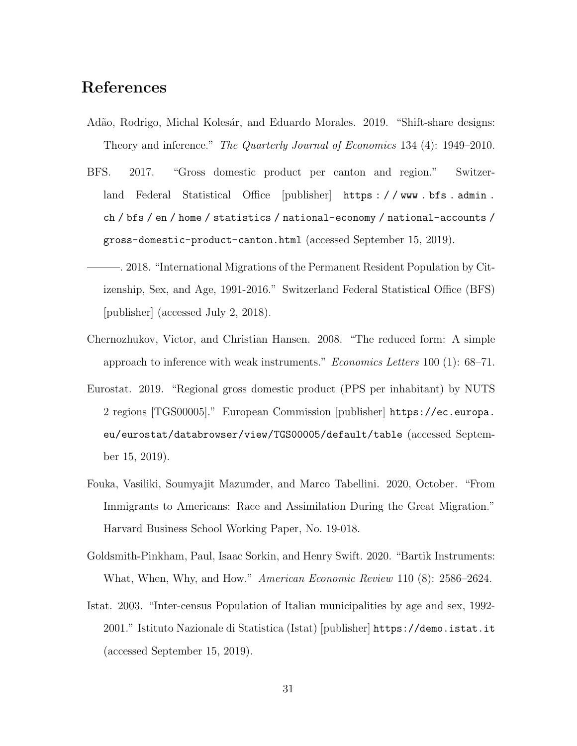### References

- Adão, Rodrigo, Michal Kolesár, and Eduardo Morales. 2019. "Shift-share designs: Theory and inference." The Quarterly Journal of Economics 134 (4): 1949–2010.
- BFS. 2017. "Gross domestic product per canton and region." Switzerland Federal Statistical Office [publisher] https://www.bfs.admin. ch / bfs / en / home / statistics / national-economy / national-accounts / gross-domestic-product-canton.html (accessed September 15, 2019).
- . 2018. "International Migrations of the Permanent Resident Population by Citizenship, Sex, and Age, 1991-2016." Switzerland Federal Statistical Office (BFS) [publisher] (accessed July 2, 2018).
- Chernozhukov, Victor, and Christian Hansen. 2008. "The reduced form: A simple approach to inference with weak instruments." *Economics Letters* 100 (1):  $68-71$ .
- Eurostat. 2019. "Regional gross domestic product (PPS per inhabitant) by NUTS 2 regions [TGS00005]." European Commission [publisher] https://ec.europa. eu/eurostat/databrowser/view/TGS00005/default/table (accessed September 15, 2019).
- Fouka, Vasiliki, Soumyajit Mazumder, and Marco Tabellini. 2020, October. "From Immigrants to Americans: Race and Assimilation During the Great Migration." Harvard Business School Working Paper, No. 19-018.
- Goldsmith-Pinkham, Paul, Isaac Sorkin, and Henry Swift. 2020. "Bartik Instruments: What, When, Why, and How." *American Economic Review* 110 (8): 2586–2624.
- Istat. 2003. "Inter-census Population of Italian municipalities by age and sex, 1992- 2001." Istituto Nazionale di Statistica (Istat) [publisher] https://demo.istat.it (accessed September 15, 2019).